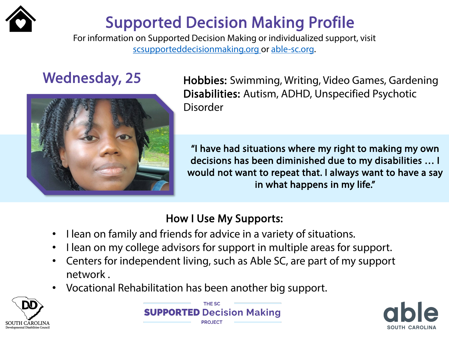

# Supported Decision Making Profile

For information on Supported Decision Making or individualized support, visit [scsupporteddecisionmaking.org o](http://scsupporteddecisionmaking.org/)r [able-sc.org.](https://www.able-sc.org/)



Wednesday, 25 Hobbies: Swimming, Writing, Video Games, Gardening Disabilities: Autism, ADHD, Unspecified Psychotic Disorder

> "I have had situations where my right to making my own decisions has been diminished due to my disabilities … I would not want to repeat that. I always want to have a say in what happens in my life."

- I lean on family and friends for advice in a variety of situations.
- I lean on my college advisors for support in multiple areas for support.
- Centers for independent living, such as Able SC, are part of my support network .
- Vocational Rehabilitation has been another big support.





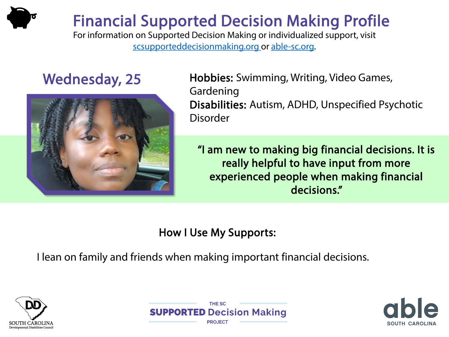

For information on Supported Decision Making or individualized support, visit [scsupporteddecisionmaking.org o](http://scsupporteddecisionmaking.org/)r [able-sc.org.](https://www.able-sc.org/)



Wednesday, 25 Hobbies: Swimming, Writing, Video Games, Gardening Disabilities: Autism, ADHD, Unspecified Psychotic Disorder

> "I am new to making big financial decisions. It is really helpful to have input from more experienced people when making financial decisions."

### How I Use My Supports:

I lean on family and friends when making important financial decisions.





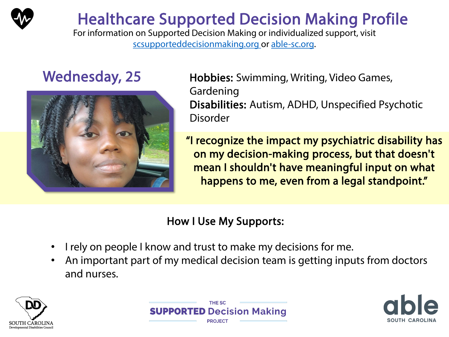

## Healthcare Supported Decision Making Profile

For information on Supported Decision Making or individualized support, visit [scsupporteddecisionmaking.org o](http://scsupporteddecisionmaking.org/)r [able-sc.org.](https://www.able-sc.org/)



Wednesday, 25 Hobbies: Swimming, Writing, Video Games, Gardening Disabilities: Autism, ADHD, Unspecified Psychotic Disorder

> "I recognize the impact my psychiatric disability has on my decision-making process, but that doesn't mean I shouldn't have meaningful input on what happens to me, even from a legal standpoint."

- I rely on people I know and trust to make my decisions for me.
- An important part of my medical decision team is getting inputs from doctors and nurses.





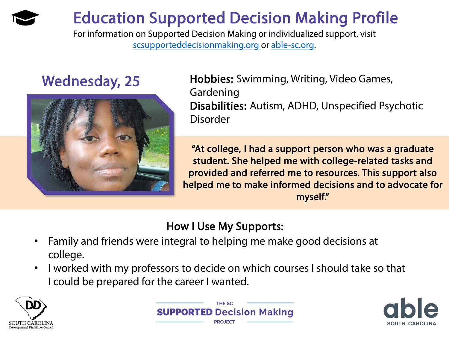## Education Supported Decision Making Profile

For information on Supported Decision Making or individualized support, visit [scsupporteddecisionmaking.org o](http://scsupporteddecisionmaking.org/)r [able-sc.org.](https://www.able-sc.org/)



Wednesday, 25 Hobbies: Swimming, Writing, Video Games, Gardening Disabilities: Autism, ADHD, Unspecified Psychotic Disorder

> "At college, I had a support person who was a graduate student. She helped me with college-related tasks and provided and referred me to resources. This support also helped me to make informed decisions and to advocate for myself."

- Family and friends were integral to helping me make good decisions at college.
- I worked with my professors to decide on which courses I should take so that I could be prepared for the career I wanted.





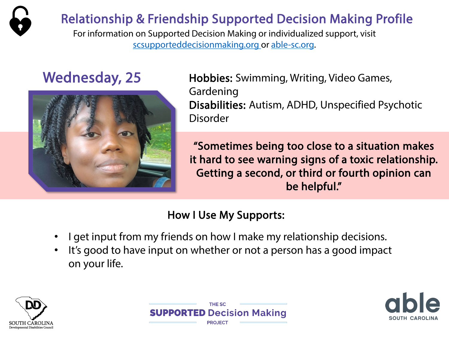

## Relationship & Friendship Supported Decision Making Profile

For information on Supported Decision Making or individualized support, visit [scsupporteddecisionmaking.org o](http://scsupporteddecisionmaking.org/)r [able-sc.org.](https://www.able-sc.org/)



Wednesday, 25 Hobbies: Swimming, Writing, Video Games, Gardening Disabilities: Autism, ADHD, Unspecified Psychotic Disorder

> "Sometimes being too close to a situation makes it hard to see warning signs of a toxic relationship. Getting a second, or third or fourth opinion can be helpful."

### How I Use My Supports:

- I get input from my friends on how I make my relationship decisions.
- It's good to have input on whether or not a person has a good impact on your life.

**THE SC** 

**SUPPORT** 

**ED** Decision Making



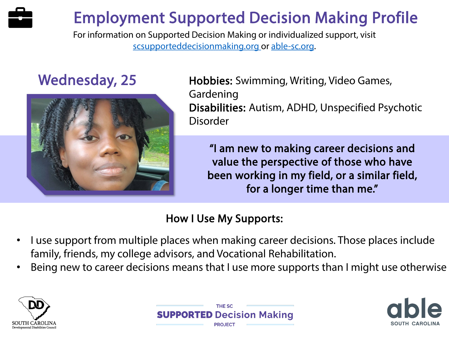# Employment Supported Decision Making Profile

For information on Supported Decision Making or individualized support, visit [scsupporteddecisionmaking.org o](http://scsupporteddecisionmaking.org/)r [able-sc.org.](https://www.able-sc.org/)



Wednesday, 25 Hobbies: Swimming, Writing, Video Games, Gardening Disabilities: Autism, ADHD, Unspecified Psychotic Disorder

> "I am new to making career decisions and value the perspective of those who have been working in my field, or a similar field, for a longer time than me."

- I use support from multiple places when making career decisions. Those places include family, friends, my college advisors, and Vocational Rehabilitation.
- Being new to career decisions means that I use more supports than I might use otherwise